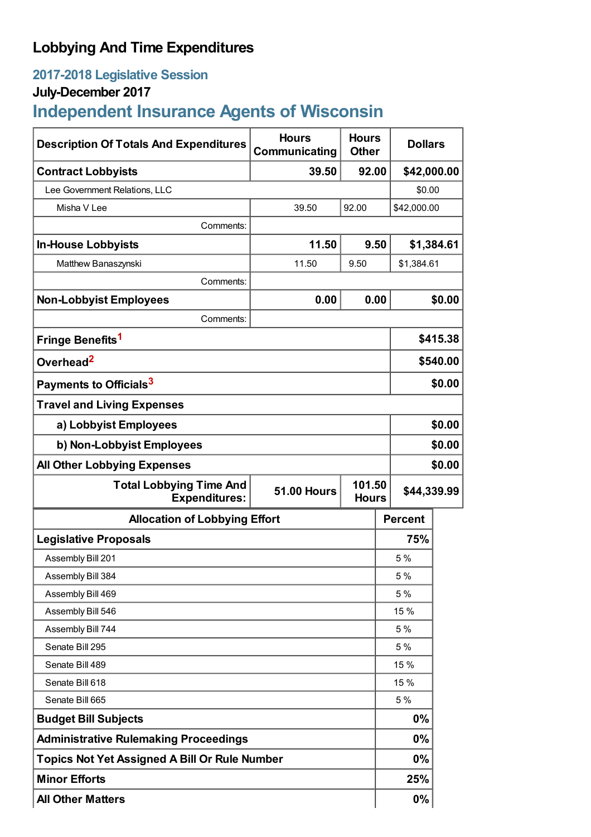## **Lobbying And Time Expenditures**

## **2017-2018 Legislative Session**

## **July-December 2017**

# **Independent Insurance Agents of Wisconsin**

| <b>Description Of Totals And Expenditures</b>                                | <b>Hours</b><br>Communicating | <b>Hours</b><br><b>Other</b> | <b>Dollars</b> |          |
|------------------------------------------------------------------------------|-------------------------------|------------------------------|----------------|----------|
| <b>Contract Lobbyists</b>                                                    | 39.50                         | 92.00                        | \$42,000.00    |          |
| Lee Government Relations, LLC                                                |                               |                              | \$0.00         |          |
| Misha V Lee                                                                  | 39.50                         | 92.00                        | \$42,000.00    |          |
| Comments:                                                                    |                               |                              |                |          |
| <b>In-House Lobbyists</b>                                                    | 11.50                         | 9.50                         | \$1,384.61     |          |
| Matthew Banaszynski                                                          | 11.50                         | 9.50                         | \$1,384.61     |          |
| Comments:                                                                    |                               |                              |                |          |
| <b>Non-Lobbyist Employees</b>                                                | 0.00                          | 0.00                         | \$0.00         |          |
| Comments:                                                                    |                               |                              |                |          |
| Fringe Benefits <sup>1</sup>                                                 |                               |                              |                | \$415.38 |
| Overhead <sup>2</sup>                                                        |                               |                              | \$540.00       |          |
| Payments to Officials <sup>3</sup>                                           |                               |                              |                | \$0.00   |
| <b>Travel and Living Expenses</b>                                            |                               |                              |                |          |
| a) Lobbyist Employees                                                        |                               |                              | \$0.00         |          |
| b) Non-Lobbyist Employees                                                    |                               |                              | \$0.00         |          |
| <b>All Other Lobbying Expenses</b>                                           |                               |                              | \$0.00         |          |
| <b>Total Lobbying Time And</b><br><b>51.00 Hours</b><br><b>Expenditures:</b> |                               | 101.50<br><b>Hours</b>       | \$44,339.99    |          |
| <b>Allocation of Lobbying Effort</b>                                         |                               |                              | <b>Percent</b> |          |
| <b>Legislative Proposals</b>                                                 |                               |                              | 75%            |          |
| Assembly Bill 201                                                            |                               |                              | 5 %            |          |
| Assembly Bill 384                                                            |                               |                              | 5 %            |          |
| Assembly Bill 469                                                            |                               |                              | 5 %            |          |
| Assembly Bill 546                                                            |                               |                              | 15 %           |          |
| Assembly Bill 744                                                            |                               |                              | 5 %            |          |
| Senate Bill 295                                                              |                               |                              | 5 %            |          |
| Senate Bill 489                                                              |                               |                              | 15 %           |          |
| Senate Bill 618                                                              |                               |                              | 15 %           |          |
| Senate Bill 665                                                              |                               |                              | 5 %            |          |
| <b>Budget Bill Subjects</b>                                                  |                               |                              | 0%             |          |
| <b>Administrative Rulemaking Proceedings</b>                                 |                               |                              | 0%             |          |
| <b>Topics Not Yet Assigned A Bill Or Rule Number</b>                         |                               |                              | 0%             |          |
| <b>Minor Efforts</b>                                                         |                               |                              | 25%            |          |
| <b>All Other Matters</b>                                                     |                               |                              | 0%             |          |